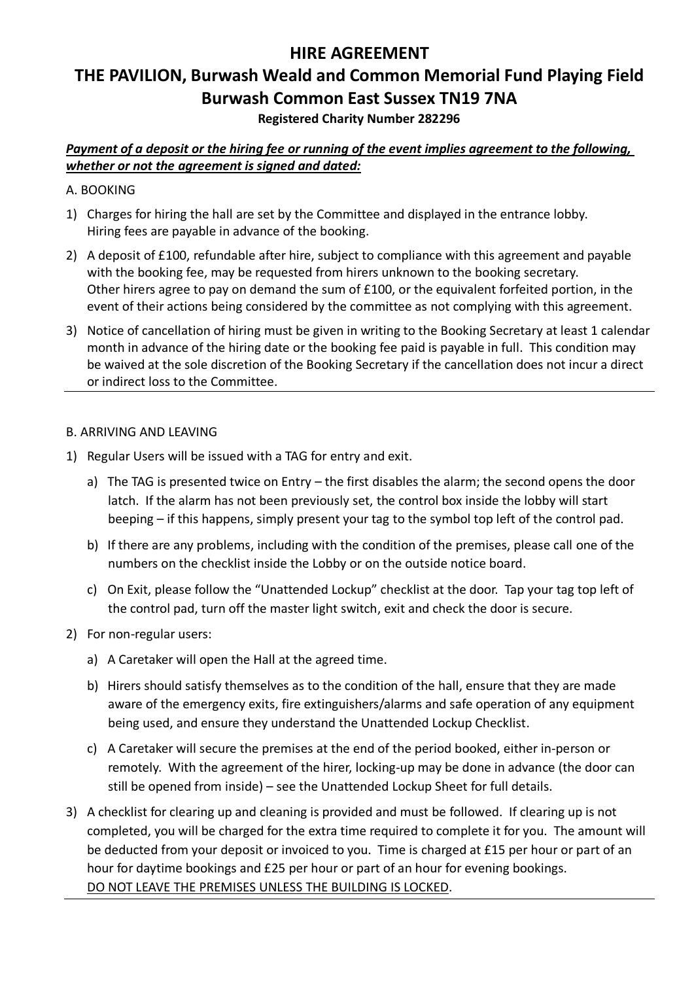# **HIRE AGREEMENT**

# **THE PAVILION, Burwash Weald and Common Memorial Fund Playing Field Burwash Common East Sussex TN19 7NA**

# **Registered Charity Number 282296**

*Payment of a deposit or the hiring fee or running of the event implies agreement to the following, whether or not the agreement is signed and dated:*

#### A. BOOKING

- 1) Charges for hiring the hall are set by the Committee and displayed in the entrance lobby. Hiring fees are payable in advance of the booking.
- 2) A deposit of £100, refundable after hire, subject to compliance with this agreement and payable with the booking fee, may be requested from hirers unknown to the booking secretary. Other hirers agree to pay on demand the sum of £100, or the equivalent forfeited portion, in the event of their actions being considered by the committee as not complying with this agreement.
- 3) Notice of cancellation of hiring must be given in writing to the Booking Secretary at least 1 calendar month in advance of the hiring date or the booking fee paid is payable in full. This condition may be waived at the sole discretion of the Booking Secretary if the cancellation does not incur a direct or indirect loss to the Committee.

#### B. ARRIVING AND LEAVING

- 1) Regular Users will be issued with a TAG for entry and exit.
	- a) The TAG is presented twice on Entry the first disables the alarm; the second opens the door latch. If the alarm has not been previously set, the control box inside the lobby will start beeping – if this happens, simply present your tag to the symbol top left of the control pad.
	- b) If there are any problems, including with the condition of the premises, please call one of the numbers on the checklist inside the Lobby or on the outside notice board.
	- c) On Exit, please follow the "Unattended Lockup" checklist at the door. Tap your tag top left of the control pad, turn off the master light switch, exit and check the door is secure.
- 2) For non-regular users:
	- a) A Caretaker will open the Hall at the agreed time.
	- b) Hirers should satisfy themselves as to the condition of the hall, ensure that they are made aware of the emergency exits, fire extinguishers/alarms and safe operation of any equipment being used, and ensure they understand the Unattended Lockup Checklist.
	- c) A Caretaker will secure the premises at the end of the period booked, either in-person or remotely. With the agreement of the hirer, locking-up may be done in advance (the door can still be opened from inside) – see the Unattended Lockup Sheet for full details.
- 3) A checklist for clearing up and cleaning is provided and must be followed. If clearing up is not completed, you will be charged for the extra time required to complete it for you. The amount will be deducted from your deposit or invoiced to you. Time is charged at £15 per hour or part of an hour for daytime bookings and £25 per hour or part of an hour for evening bookings. DO NOT LEAVE THE PREMISES UNLESS THE BUILDING IS LOCKED.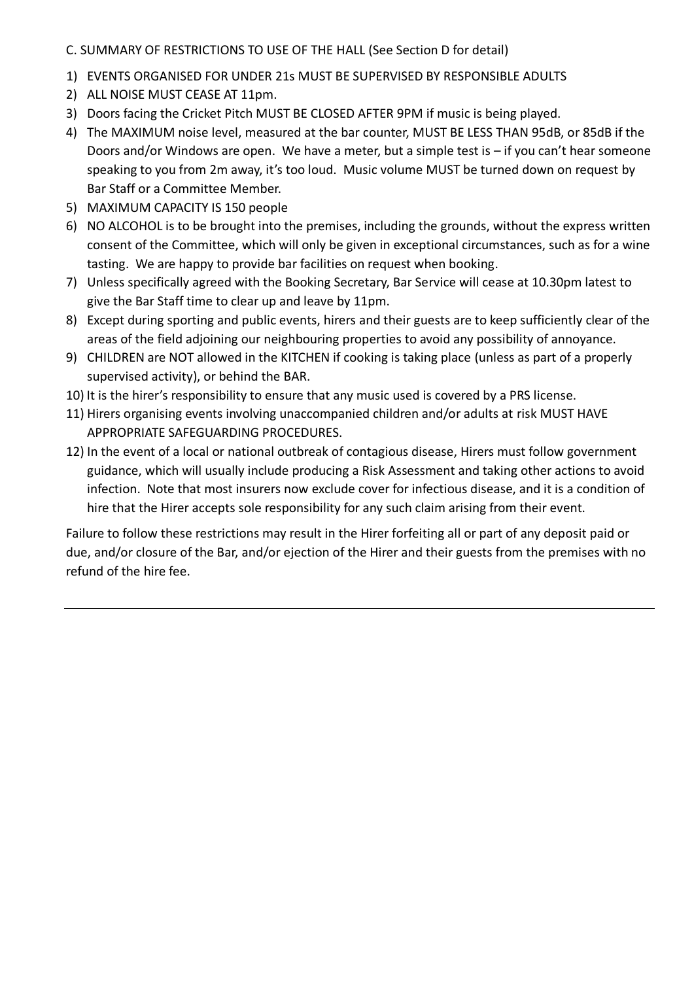C. SUMMARY OF RESTRICTIONS TO USE OF THE HALL (See Section D for detail)

- 1) EVENTS ORGANISED FOR UNDER 21s MUST BE SUPERVISED BY RESPONSIBLE ADULTS
- 2) ALL NOISE MUST CEASE AT 11pm.
- 3) Doors facing the Cricket Pitch MUST BE CLOSED AFTER 9PM if music is being played.
- 4) The MAXIMUM noise level, measured at the bar counter, MUST BE LESS THAN 95dB, or 85dB if the Doors and/or Windows are open. We have a meter, but a simple test is – if you can't hear someone speaking to you from 2m away, it's too loud. Music volume MUST be turned down on request by Bar Staff or a Committee Member.
- 5) MAXIMUM CAPACITY IS 150 people
- 6) NO ALCOHOL is to be brought into the premises, including the grounds, without the express written consent of the Committee, which will only be given in exceptional circumstances, such as for a wine tasting. We are happy to provide bar facilities on request when booking.
- 7) Unless specifically agreed with the Booking Secretary, Bar Service will cease at 10.30pm latest to give the Bar Staff time to clear up and leave by 11pm.
- 8) Except during sporting and public events, hirers and their guests are to keep sufficiently clear of the areas of the field adjoining our neighbouring properties to avoid any possibility of annoyance.
- 9) CHILDREN are NOT allowed in the KITCHEN if cooking is taking place (unless as part of a properly supervised activity), or behind the BAR.
- 10) It is the hirer's responsibility to ensure that any music used is covered by a PRS license.
- 11) Hirers organising events involving unaccompanied children and/or adults at risk MUST HAVE APPROPRIATE SAFEGUARDING PROCEDURES.
- 12) In the event of a local or national outbreak of contagious disease, Hirers must follow government guidance, which will usually include producing a Risk Assessment and taking other actions to avoid infection. Note that most insurers now exclude cover for infectious disease, and it is a condition of hire that the Hirer accepts sole responsibility for any such claim arising from their event.

Failure to follow these restrictions may result in the Hirer forfeiting all or part of any deposit paid or due, and/or closure of the Bar, and/or ejection of the Hirer and their guests from the premises with no refund of the hire fee.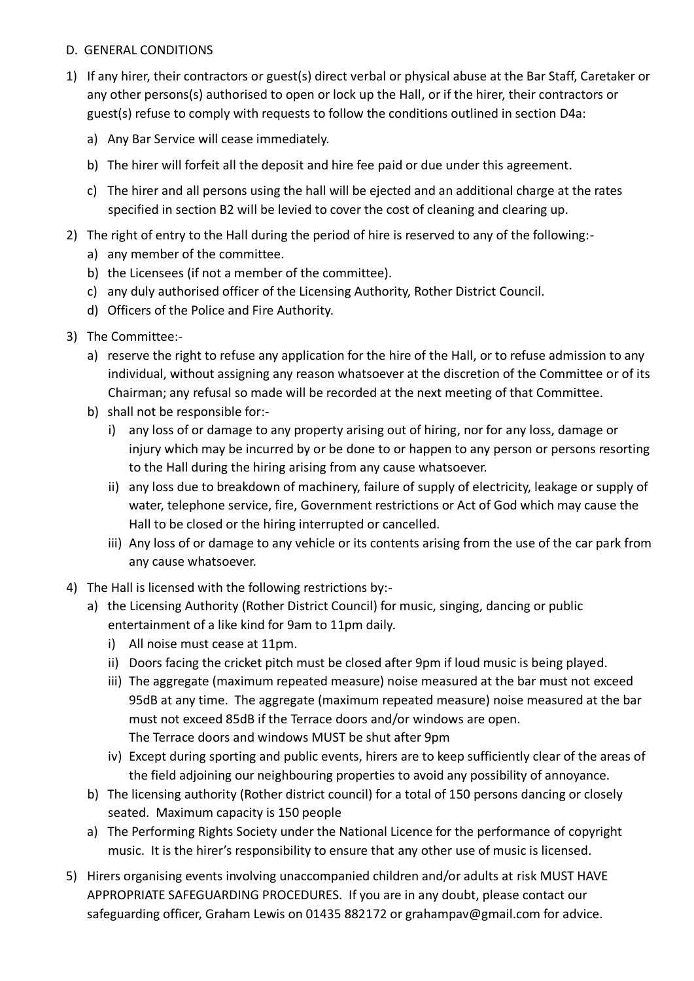# D. GENERAL CONDITIONS

- 1) If any hirer, their contractors or guest(s) direct verbal or physical abuse at the Bar Staff, Caretaker or any other persons(s) authorised to open or lock up the Hall, or if the hirer, their contractors or guest(s) refuse to comply with requests to follow the conditions outlined in section D4a:
	- a) Any Bar Service will cease immediately.
	- b) The hirer will forfeit all the deposit and hire fee paid or due under this agreement.
	- c) The hirer and all persons using the hall will be ejected and an additional charge at the rates specified in section B2 will be levied to cover the cost of cleaning and clearing up.
- 2) The right of entry to the Hall during the period of hire is reserved to any of the following:
	- a) any member of the committee.
	- b) the Licensees (if not a member of the committee).
	- c) any duly authorised officer of the Licensing Authority, Rother District Council.
	- d) Officers of the Police and Fire Authority.
- 3) The Committee:
	- a) reserve the right to refuse any application for the hire of the Hall, or to refuse admission to any individual, without assigning any reason whatsoever at the discretion of the Committee or of its Chairman; any refusal so made will be recorded at the next meeting of that Committee.
	- b) shall not be responsible for:
		- i) any loss of or damage to any property arising out of hiring, nor for any loss, damage or injury which may be incurred by or be done to or happen to any person or persons resorting to the Hall during the hiring arising from any cause whatsoever.
		- ii) any loss due to breakdown of machinery, failure of supply of electricity, leakage or supply of water, telephone service, fire, Government restrictions or Act of God which may cause the Hall to be closed or the hiring interrupted or cancelled.
		- iii) Any loss of or damage to any vehicle or its contents arising from the use of the car park from any cause whatsoever.
- 4) The Hall is licensed with the following restrictions by:
	- a) the Licensing Authority (Rother District Council) for music, singing, dancing or public entertainment of a like kind for 9am to 11pm daily.
		- i) All noise must cease at 11pm.
		- ii) Doors facing the cricket pitch must be closed after 9pm if loud music is being played.
		- iii) The aggregate (maximum repeated measure) noise measured at the bar must not exceed 95dB at any time. The aggregate (maximum repeated measure) noise measured at the bar must not exceed 85dB if the Terrace doors and/or windows are open. The Terrace doors and windows MUST be shut after 9pm
		- iv) Except during sporting and public events, hirers are to keep sufficiently clear of the areas of the field adjoining our neighbouring properties to avoid any possibility of annoyance.
	- b) The licensing authority (Rother district council) for a total of 150 persons dancing or closely seated. Maximum capacity is 150 people
	- a) The Performing Rights Society under the National Licence for the performance of copyright music. It is the hirer's responsibility to ensure that any other use of music is licensed.
- 5) Hirers organising events involving unaccompanied children and/or adults at risk MUST HAVE APPROPRIATE SAFEGUARDING PROCEDURES. If you are in any doubt, please contact our safeguarding officer, Graham Lewis on 01435 882172 or grahampav@gmail.com for advice.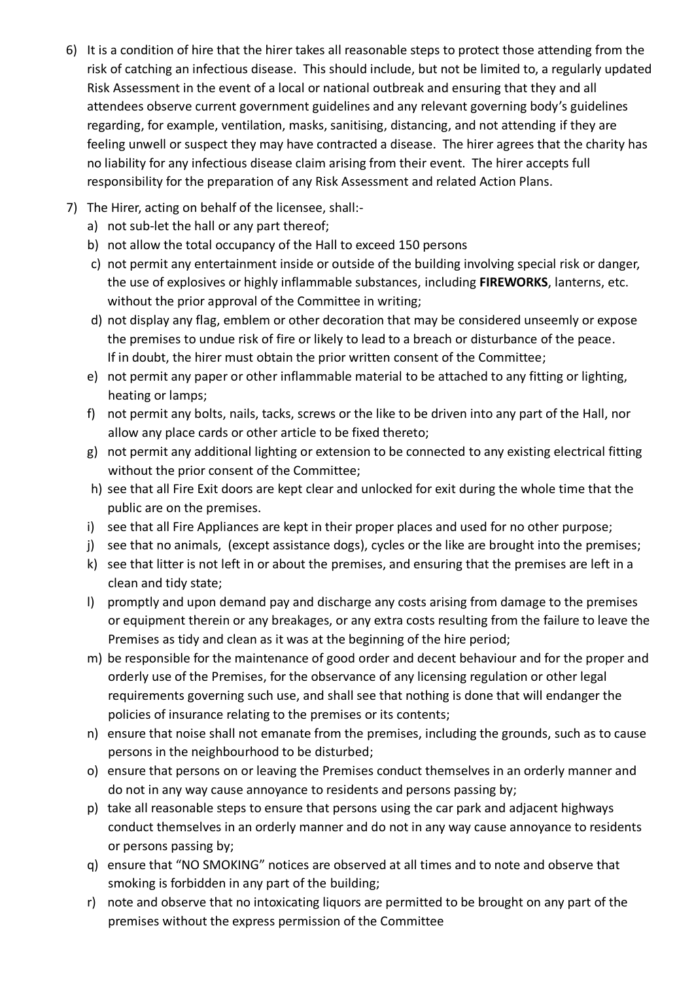- 6) It is a condition of hire that the hirer takes all reasonable steps to protect those attending from the risk of catching an infectious disease. This should include, but not be limited to, a regularly updated Risk Assessment in the event of a local or national outbreak and ensuring that they and all attendees observe current government guidelines and any relevant governing body's guidelines regarding, for example, ventilation, masks, sanitising, distancing, and not attending if they are feeling unwell or suspect they may have contracted a disease. The hirer agrees that the charity has no liability for any infectious disease claim arising from their event. The hirer accepts full responsibility for the preparation of any Risk Assessment and related Action Plans.
- 7) The Hirer, acting on behalf of the licensee, shall:
	- a) not sub-let the hall or any part thereof;
	- b) not allow the total occupancy of the Hall to exceed 150 persons
	- c) not permit any entertainment inside or outside of the building involving special risk or danger, the use of explosives or highly inflammable substances, including **FIREWORKS**, lanterns, etc. without the prior approval of the Committee in writing;
	- d) not display any flag, emblem or other decoration that may be considered unseemly or expose the premises to undue risk of fire or likely to lead to a breach or disturbance of the peace. If in doubt, the hirer must obtain the prior written consent of the Committee;
	- e) not permit any paper or other inflammable material to be attached to any fitting or lighting, heating or lamps;
	- f) not permit any bolts, nails, tacks, screws or the like to be driven into any part of the Hall, nor allow any place cards or other article to be fixed thereto;
	- g) not permit any additional lighting or extension to be connected to any existing electrical fitting without the prior consent of the Committee;
	- h) see that all Fire Exit doors are kept clear and unlocked for exit during the whole time that the public are on the premises.
	- i) see that all Fire Appliances are kept in their proper places and used for no other purpose;
	- j) see that no animals, (except assistance dogs), cycles or the like are brought into the premises;
	- k) see that litter is not left in or about the premises, and ensuring that the premises are left in a clean and tidy state;
	- l) promptly and upon demand pay and discharge any costs arising from damage to the premises or equipment therein or any breakages, or any extra costs resulting from the failure to leave the Premises as tidy and clean as it was at the beginning of the hire period;
	- m) be responsible for the maintenance of good order and decent behaviour and for the proper and orderly use of the Premises, for the observance of any licensing regulation or other legal requirements governing such use, and shall see that nothing is done that will endanger the policies of insurance relating to the premises or its contents;
	- n) ensure that noise shall not emanate from the premises, including the grounds, such as to cause persons in the neighbourhood to be disturbed;
	- o) ensure that persons on or leaving the Premises conduct themselves in an orderly manner and do not in any way cause annoyance to residents and persons passing by;
	- p) take all reasonable steps to ensure that persons using the car park and adjacent highways conduct themselves in an orderly manner and do not in any way cause annoyance to residents or persons passing by;
	- q) ensure that "NO SMOKING" notices are observed at all times and to note and observe that smoking is forbidden in any part of the building;
	- r) note and observe that no intoxicating liquors are permitted to be brought on any part of the premises without the express permission of the Committee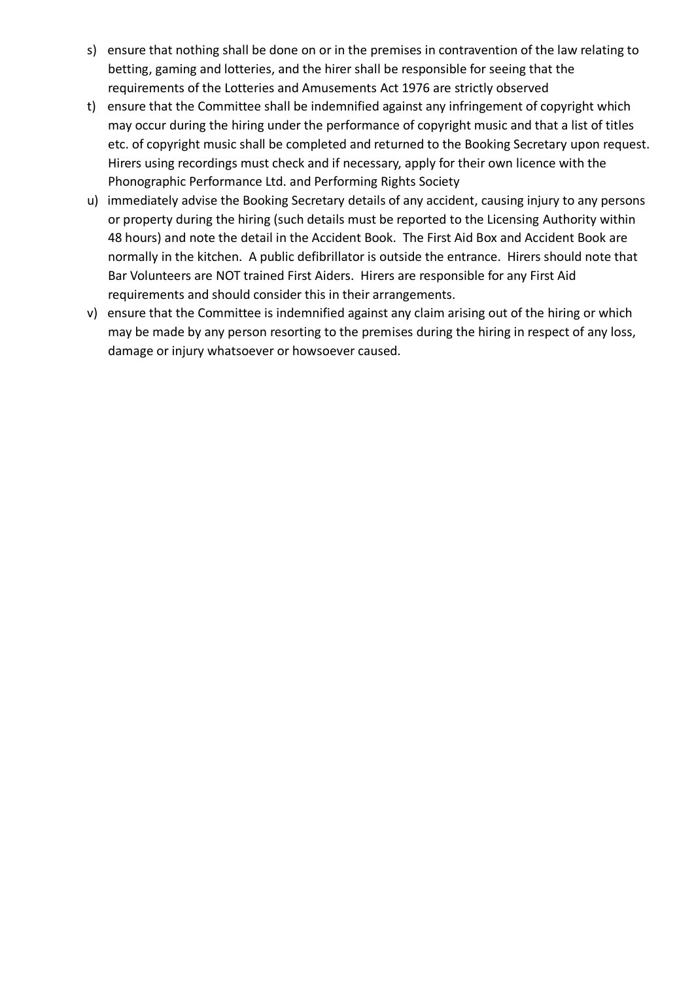- s) ensure that nothing shall be done on or in the premises in contravention of the law relating to betting, gaming and lotteries, and the hirer shall be responsible for seeing that the requirements of the Lotteries and Amusements Act 1976 are strictly observed
- t) ensure that the Committee shall be indemnified against any infringement of copyright which may occur during the hiring under the performance of copyright music and that a list of titles etc. of copyright music shall be completed and returned to the Booking Secretary upon request. Hirers using recordings must check and if necessary, apply for their own licence with the Phonographic Performance Ltd. and Performing Rights Society
- u) immediately advise the Booking Secretary details of any accident, causing injury to any persons or property during the hiring (such details must be reported to the Licensing Authority within 48 hours) and note the detail in the Accident Book. The First Aid Box and Accident Book are normally in the kitchen. A public defibrillator is outside the entrance. Hirers should note that Bar Volunteers are NOT trained First Aiders. Hirers are responsible for any First Aid requirements and should consider this in their arrangements.
- v) ensure that the Committee is indemnified against any claim arising out of the hiring or which may be made by any person resorting to the premises during the hiring in respect of any loss, damage or injury whatsoever or howsoever caused.